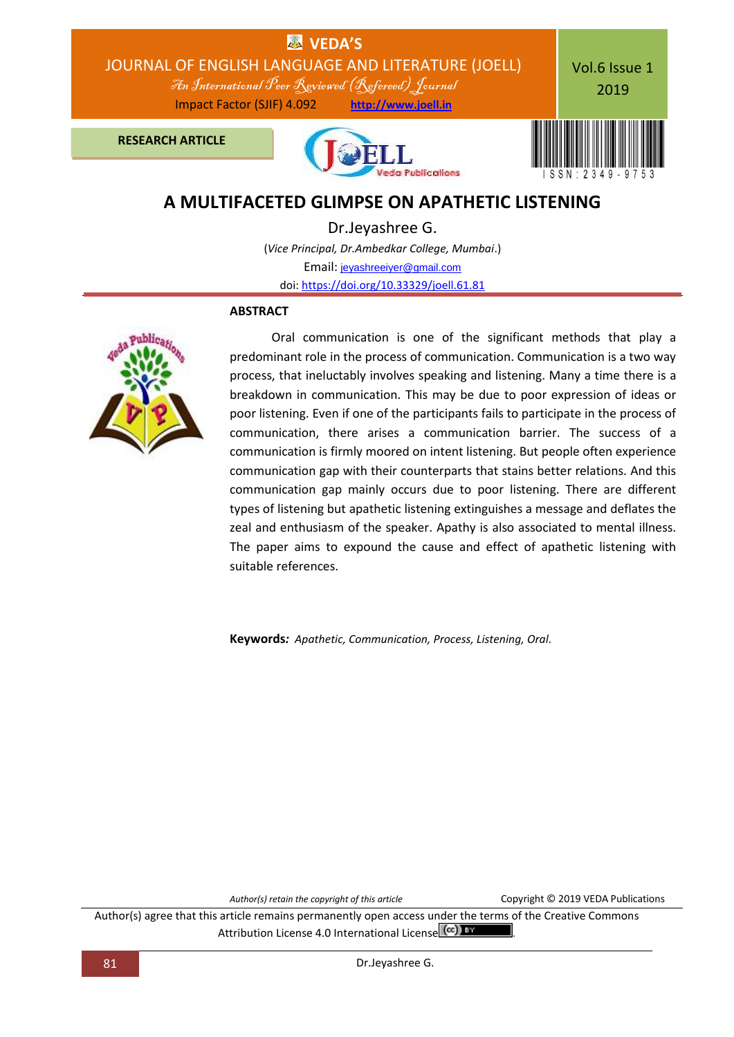

# **A MULTIFACETED GLIMPSE ON APATHETIC LISTENING**

Dr.Jeyashree G. (*Vice Principal, Dr.Ambedkar College, Mumbai*.) Email: [jeyashreeiyer@gmail.com](mailto:jeyashreeiyer@gmail.com) doi: [https://doi.org/10.33329/joell.61.81](http://joell.in/2019/02/05/doi-https-doi-org-10-33329-joell-61-81/)

## **ABSTRACT**



 Oral communication is one of the significant methods that play a predominant role in the process of communication. Communication is a two way process, that ineluctably involves speaking and listening. Many a time there is a breakdown in communication. This may be due to poor expression of ideas or poor listening. Even if one of the participants fails to participate in the process of communication, there arises a communication barrier. The success of a communication is firmly moored on intent listening. But people often experience communication gap with their counterparts that stains better relations. And this communication gap mainly occurs due to poor listening. There are different types of listening but apathetic listening extinguishes a message and deflates the zeal and enthusiasm of the speaker. Apathy is also associated to mental illness. The paper aims to expound the cause and effect of apathetic listening with suitable references.

**Keywords***: Apathetic, Communication, Process, Listening, Oral.*

*Author(s) retain the copyright of this article* Copyright © 2019 VEDA Publications

Author(s) agree that this article remains permanently open access under the terms of the Creative Commons Attribution License 4.0 International License (cc) BY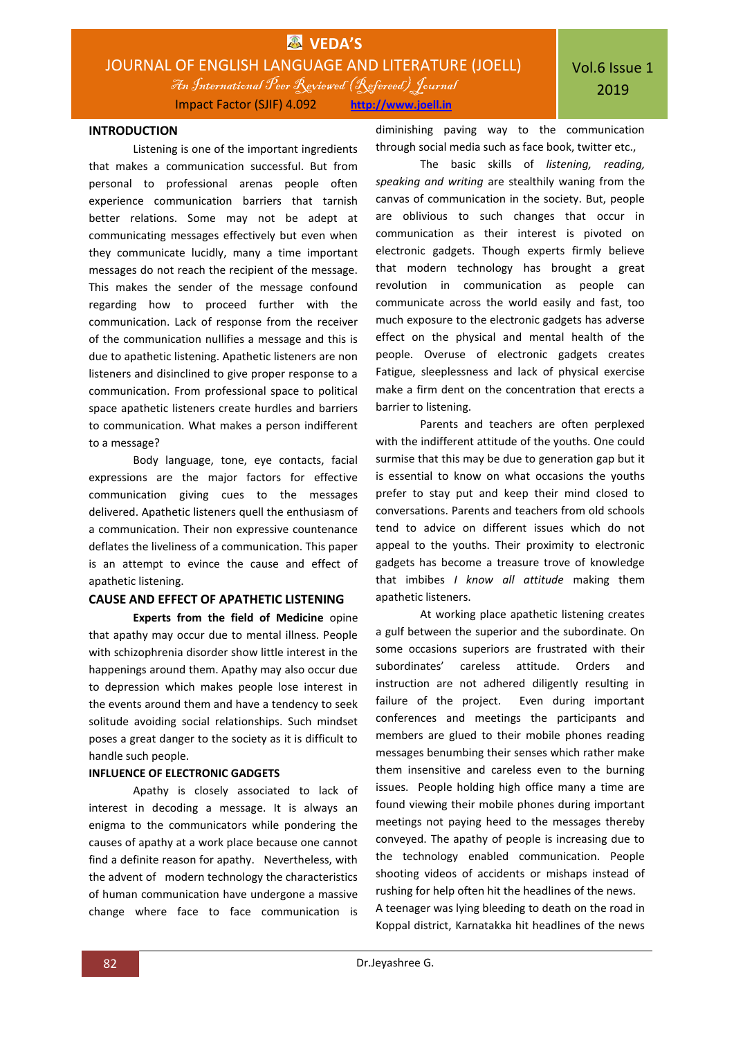

#### **INTRODUCTION**

Listening is one of the important ingredients that makes a communication successful. But from personal to professional arenas people often experience communication barriers that tarnish better relations. Some may not be adept at communicating messages effectively but even when they communicate lucidly, many a time important messages do not reach the recipient of the message. This makes the sender of the message confound regarding how to proceed further with the communication. Lack of response from the receiver of the communication nullifies a message and this is due to apathetic listening. Apathetic listeners are non listeners and disinclined to give proper response to a communication. From professional space to political space apathetic listeners create hurdles and barriers to communication. What makes a person indifferent to a message?

Body language, tone, eye contacts, facial expressions are the major factors for effective communication giving cues to the messages delivered. Apathetic listeners quell the enthusiasm of a communication. Their non expressive countenance deflates the liveliness of a communication. This paper is an attempt to evince the cause and effect of apathetic listening.

## **CAUSE AND EFFECT OF APATHETIC LISTENING**

**Experts from the field of Medicine** opine that apathy may occur due to mental illness. People with schizophrenia disorder show little interest in the happenings around them. Apathy may also occur due to depression which makes people lose interest in the events around them and have a tendency to seek solitude avoiding social relationships. Such mindset poses a great danger to the society as it is difficult to handle such people.

#### **INFLUENCE OF ELECTRONIC GADGETS**

Apathy is closely associated to lack of interest in decoding a message. It is always an enigma to the communicators while pondering the causes of apathy at a work place because one cannot find a definite reason for apathy. Nevertheless, with the advent of modern technology the characteristics of human communication have undergone a massive change where face to face communication is

diminishing paving way to the communication through social media such as face book, twitter etc.,

The basic skills of *listening, reading, speaking and writing* are stealthily waning from the canvas of communication in the society. But, people are oblivious to such changes that occur in communication as their interest is pivoted on electronic gadgets. Though experts firmly believe that modern technology has brought a great revolution in communication as people can communicate across the world easily and fast, too much exposure to the electronic gadgets has adverse effect on the physical and mental health of the people. Overuse of electronic gadgets creates Fatigue, sleeplessness and lack of physical exercise make a firm dent on the concentration that erects a barrier to listening.

Parents and teachers are often perplexed with the indifferent attitude of the youths. One could surmise that this may be due to generation gap but it is essential to know on what occasions the youths prefer to stay put and keep their mind closed to conversations. Parents and teachers from old schools tend to advice on different issues which do not appeal to the youths. Their proximity to electronic gadgets has become a treasure trove of knowledge that imbibes *I know all attitude* making them apathetic listeners.

At working place apathetic listening creates a gulf between the superior and the subordinate. On some occasions superiors are frustrated with their subordinates' careless attitude. Orders and instruction are not adhered diligently resulting in failure of the project. Even during important conferences and meetings the participants and members are glued to their mobile phones reading messages benumbing their senses which rather make them insensitive and careless even to the burning issues. People holding high office many a time are found viewing their mobile phones during important meetings not paying heed to the messages thereby conveyed. The apathy of people is increasing due to the technology enabled communication. People shooting videos of accidents or mishaps instead of rushing for help often hit the headlines of the news.

A teenager was lying bleeding to death on the road in Koppal district, Karnatakka hit headlines of the news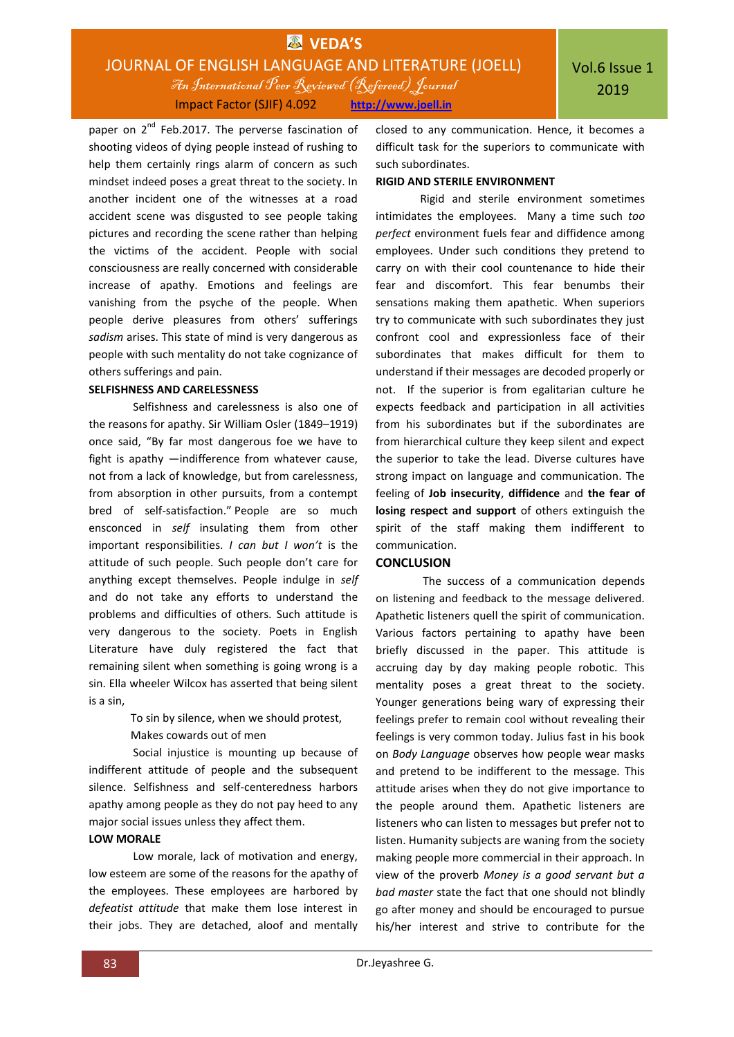## **EX** VEDA'S JOURNAL OF ENGLISH LANGUAGE AND LITERATURE (JOELL) An International Peer Reviewed (Refereed)Journal Impact Factor (SJIF) 4.092 **http://www.joell.in**

paper on 2<sup>nd</sup> Feb.2017. The perverse fascination of shooting videos of dying people instead of rushing to help them certainly rings alarm of concern as such mindset indeed poses a great threat to the society. In another incident one of the witnesses at a road accident scene was disgusted to see people taking pictures and recording the scene rather than helping the victims of the accident. People with social consciousness are really concerned with considerable increase of apathy. Emotions and feelings are vanishing from the psyche of the people. When people derive pleasures from others' sufferings *sadism* arises. This state of mind is very dangerous as people with such mentality do not take cognizance of others sufferings and pain.

#### **SELFISHNESS AND CARELESSNESS**

Selfishness and carelessness is also one of the reasons for apathy. Sir William Osler (1849–1919) once said, "By far most dangerous foe we have to fight is apathy —indifference from whatever cause, not from a lack of knowledge, but from carelessness, from absorption in other pursuits, from a contempt bred of self-satisfaction." People are so much ensconced in *self* insulating them from other important responsibilities. *I can but I won't* is the attitude of such people. Such people don't care for anything except themselves. People indulge in *self*  and do not take any efforts to understand the problems and difficulties of others. Such attitude is very dangerous to the society. Poets in English Literature have duly registered the fact that remaining silent when something is going wrong is a sin. Ella wheeler Wilcox has asserted that being silent is a sin,

> To sin by silence, when we should protest, Makes cowards out of men

Social injustice is mounting up because of indifferent attitude of people and the subsequent silence. Selfishness and self-centeredness harbors apathy among people as they do not pay heed to any major social issues unless they affect them.

## **LOW MORALE**

Low morale, lack of motivation and energy, low esteem are some of the reasons for the apathy of the employees. These employees are harbored by *defeatist attitude* that make them lose interest in their jobs. They are detached, aloof and mentally

closed to any communication. Hence, it becomes a difficult task for the superiors to communicate with such subordinates.

## **RIGID AND STERILE ENVIRONMENT**

Rigid and sterile environment sometimes intimidates the employees. Many a time such *too perfect* environment fuels fear and diffidence among employees. Under such conditions they pretend to carry on with their cool countenance to hide their fear and discomfort. This fear benumbs their sensations making them apathetic. When superiors try to communicate with such subordinates they just confront cool and expressionless face of their subordinates that makes difficult for them to understand if their messages are decoded properly or not. If the superior is from egalitarian culture he expects feedback and participation in all activities from his subordinates but if the subordinates are from hierarchical culture they keep silent and expect the superior to take the lead. Diverse cultures have strong impact on language and communication. The feeling of **Job insecurity**, **diffidence** and **the fear of losing respect and support** of others extinguish the spirit of the staff making them indifferent to communication.

## **CONCLUSION**

The success of a communication depends on listening and feedback to the message delivered. Apathetic listeners quell the spirit of communication. Various factors pertaining to apathy have been briefly discussed in the paper. This attitude is accruing day by day making people robotic. This mentality poses a great threat to the society. Younger generations being wary of expressing their feelings prefer to remain cool without revealing their feelings is very common today. Julius fast in his book on *Body Language* observes how people wear masks and pretend to be indifferent to the message. This attitude arises when they do not give importance to the people around them. Apathetic listeners are listeners who can listen to messages but prefer not to listen. Humanity subjects are waning from the society making people more commercial in their approach. In view of the proverb *Money is a good servant but a bad master* state the fact that one should not blindly go after money and should be encouraged to pursue his/her interest and strive to contribute for the